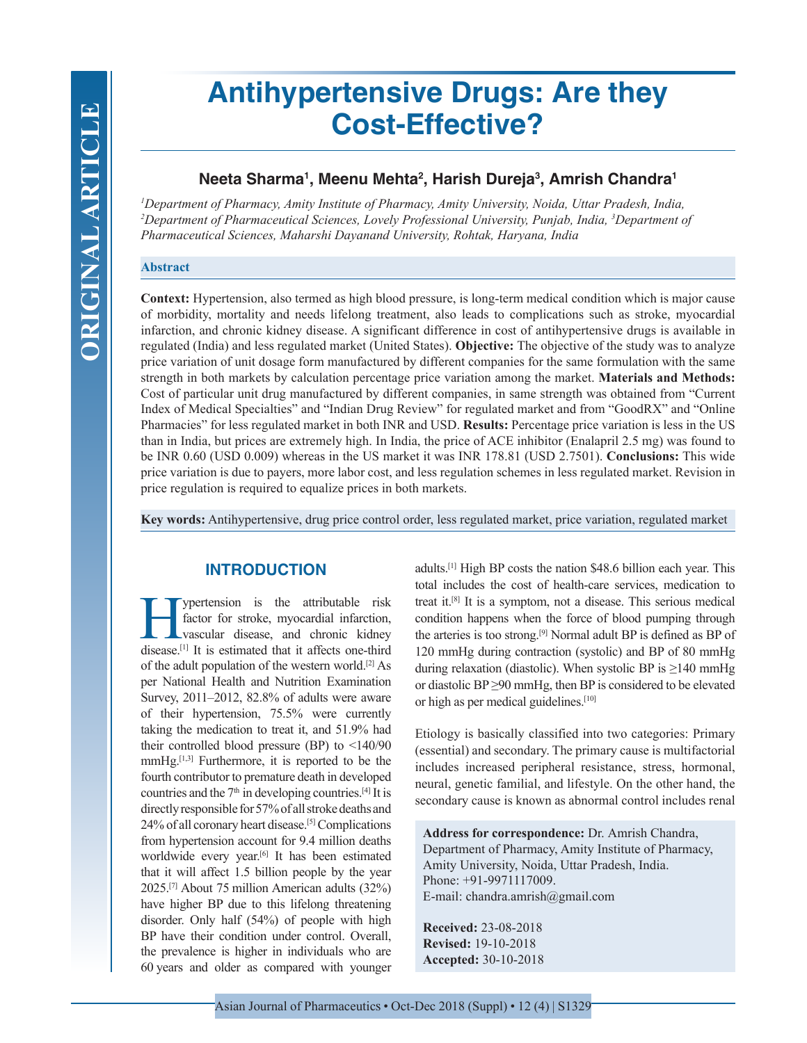# **Antihypertensive Drugs: Are they Cost-Effective?**

# **Neeta Sharma1 , Meenu Mehta2 , Harish Dureja3 , Amrish Chandra1**

*1 Department of Pharmacy, Amity Institute of Pharmacy, Amity University, Noida, Uttar Pradesh, India, 2 Department of Pharmaceutical Sciences, Lovely Professional University, Punjab, India, 3 Department of Pharmaceutical Sciences, Maharshi Dayanand University, Rohtak, Haryana, India*

### **Abstract**

**Context:** Hypertension, also termed as high blood pressure, is long-term medical condition which is major cause of morbidity, mortality and needs lifelong treatment, also leads to complications such as stroke, myocardial infarction, and chronic kidney disease. A significant difference in cost of antihypertensive drugs is available in regulated (India) and less regulated market (United States). **Objective:** The objective of the study was to analyze price variation of unit dosage form manufactured by different companies for the same formulation with the same strength in both markets by calculation percentage price variation among the market. **Materials and Methods:**  Cost of particular unit drug manufactured by different companies, in same strength was obtained from "Current Index of Medical Specialties" and "Indian Drug Review" for regulated market and from "GoodRX" and "Online Pharmacies" for less regulated market in both INR and USD. **Results:** Percentage price variation is less in the US than in India, but prices are extremely high. In India, the price of ACE inhibitor (Enalapril 2.5 mg) was found to be INR 0.60 (USD 0.009) whereas in the US market it was INR 178.81 (USD 2.7501). **Conclusions:** This wide price variation is due to payers, more labor cost, and less regulation schemes in less regulated market. Revision in price regulation is required to equalize prices in both markets.

**Key words:** Antihypertensive, drug price control order, less regulated market, price variation, regulated market

# **INTRODUCTION**

ypertension is the attributable risk factor for stroke, myocardial infarction, vascular disease, and chronic kidney disease.[1] It is estimated that it affects one-third of the adult population of the western world.[2] As per National Health and Nutrition Examination Survey, 2011–2012, 82.8% of adults were aware of their hypertension, 75.5% were currently taking the medication to treat it, and 51.9% had their controlled blood pressure (BP) to <140/90 mmHg.<sup>[1,3]</sup> Furthermore, it is reported to be the fourth contributor to premature death in developed countries and the  $7<sup>th</sup>$  in developing countries.<sup>[4]</sup> It is directly responsible for 57% of all stroke deaths and 24% of all coronary heart disease.[5] Complications from hypertension account for 9.4 million deaths worldwide every year.<sup>[6]</sup> It has been estimated that it will affect 1.5 billion people by the year 2025.[7] About 75 million American adults (32%) have higher BP due to this lifelong threatening disorder. Only half (54%) of people with high BP have their condition under control. Overall, the prevalence is higher in individuals who are 60 years and older as compared with younger adults.[1] High BP costs the nation \$48.6 billion each year. This total includes the cost of health-care services, medication to treat it.[8] It is a symptom, not a disease. This serious medical condition happens when the force of blood pumping through the arteries is too strong.[9] Normal adult BP is defined as BP of 120 mmHg during contraction (systolic) and BP of 80 mmHg during relaxation (diastolic). When systolic BP is  $\geq$ 140 mmHg or diastolic  $BP \geq 90$  mmHg, then  $BP$  is considered to be elevated or high as per medical guidelines.[10]

Etiology is basically classified into two categories: Primary (essential) and secondary. The primary cause is multifactorial includes increased peripheral resistance, stress, hormonal, neural, genetic familial, and lifestyle. On the other hand, the secondary cause is known as abnormal control includes renal

**Address for correspondence:** Dr. Amrish Chandra, Department of Pharmacy, Amity Institute of Pharmacy, Amity University, Noida, Uttar Pradesh, India. Phone: +91-9971117009. E-mail: chandra.amrish@gmail.com

**Received:** 23-08-2018 **Revised:** 19-10-2018 **Accepted:** 30-10-2018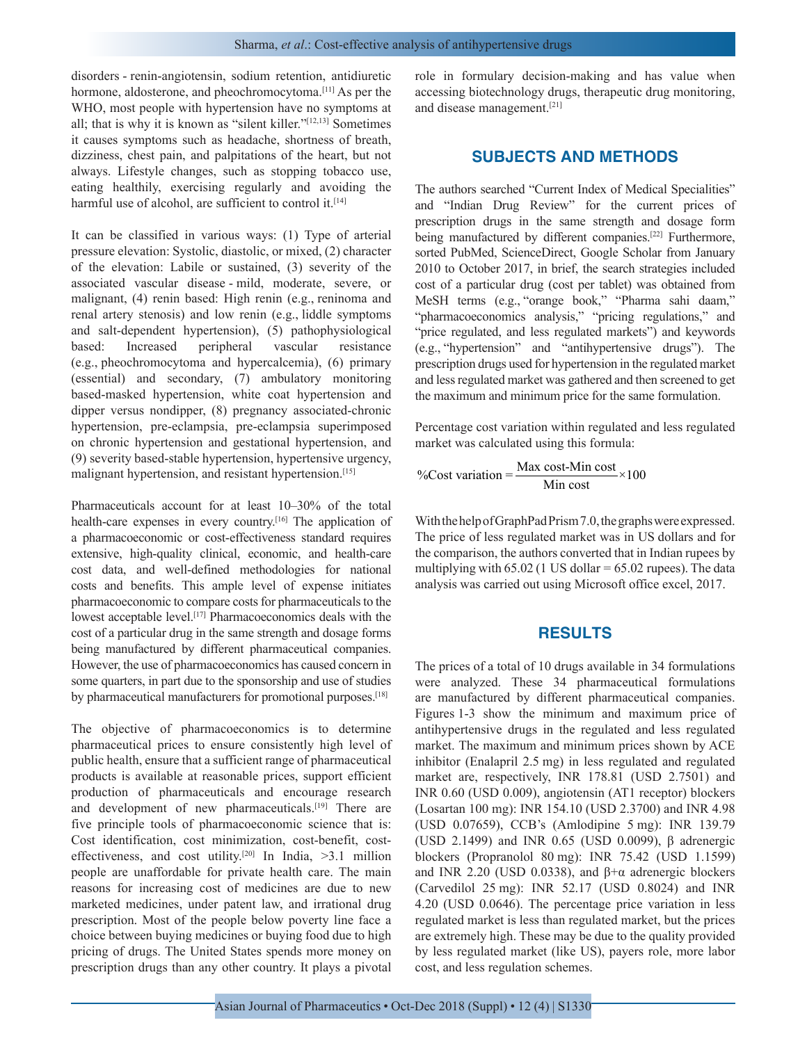disorders - renin-angiotensin, sodium retention, antidiuretic hormone, aldosterone, and pheochromocytoma.<sup>[11]</sup> As per the WHO, most people with hypertension have no symptoms at all; that is why it is known as "silent killer."[12,13] Sometimes it causes symptoms such as headache, shortness of breath, dizziness, chest pain, and palpitations of the heart, but not always. Lifestyle changes, such as stopping tobacco use, eating healthily, exercising regularly and avoiding the harmful use of alcohol, are sufficient to control it.<sup>[14]</sup>

It can be classified in various ways: (1) Type of arterial pressure elevation: Systolic, diastolic, or mixed, (2) character of the elevation: Labile or sustained, (3) severity of the associated vascular disease - mild, moderate, severe, or malignant, (4) renin based: High renin (e.g., reninoma and renal artery stenosis) and low renin (e.g., liddle symptoms and salt-dependent hypertension), (5) pathophysiological based: Increased peripheral vascular resistance (e.g., pheochromocytoma and hypercalcemia), (6) primary (essential) and secondary, (7) ambulatory monitoring based-masked hypertension, white coat hypertension and dipper versus nondipper, (8) pregnancy associated-chronic hypertension, pre-eclampsia, pre-eclampsia superimposed on chronic hypertension and gestational hypertension, and (9) severity based-stable hypertension, hypertensive urgency, malignant hypertension, and resistant hypertension.<sup>[15]</sup>

Pharmaceuticals account for at least 10–30% of the total health-care expenses in every country.<sup>[16]</sup> The application of a pharmacoeconomic or cost-effectiveness standard requires extensive, high-quality clinical, economic, and health-care cost data, and well-defined methodologies for national costs and benefits. This ample level of expense initiates pharmacoeconomic to compare costs for pharmaceuticals to the lowest acceptable level.[17] Pharmacoeconomics deals with the cost of a particular drug in the same strength and dosage forms being manufactured by different pharmaceutical companies. However, the use of pharmacoeconomics has caused concern in some quarters, in part due to the sponsorship and use of studies by pharmaceutical manufacturers for promotional purposes.<sup>[18]</sup>

The objective of pharmacoeconomics is to determine pharmaceutical prices to ensure consistently high level of public health, ensure that a sufficient range of pharmaceutical products is available at reasonable prices, support efficient production of pharmaceuticals and encourage research and development of new pharmaceuticals.<sup>[19]</sup> There are five principle tools of pharmacoeconomic science that is: Cost identification, cost minimization, cost-benefit, costeffectiveness, and cost utility.<sup>[20]</sup> In India,  $>3.1$  million people are unaffordable for private health care. The main reasons for increasing cost of medicines are due to new marketed medicines, under patent law, and irrational drug prescription. Most of the people below poverty line face a choice between buying medicines or buying food due to high pricing of drugs. The United States spends more money on prescription drugs than any other country. It plays a pivotal

role in formulary decision-making and has value when accessing biotechnology drugs, therapeutic drug monitoring, and disease management.[21]

## **SUBJECTS AND METHODS**

The authors searched "Current Index of Medical Specialities" and "Indian Drug Review" for the current prices of prescription drugs in the same strength and dosage form being manufactured by different companies.<sup>[22]</sup> Furthermore, sorted PubMed, ScienceDirect, Google Scholar from January 2010 to October 2017, in brief, the search strategies included cost of a particular drug (cost per tablet) was obtained from MeSH terms (e.g., "orange book," "Pharma sahi daam," "pharmacoeconomics analysis," "pricing regulations," and "price regulated, and less regulated markets") and keywords (e.g., "hypertension" and "antihypertensive drugs"). The prescription drugs used for hypertension in the regulated market and less regulated market was gathered and then screened to get the maximum and minimum price for the same formulation.

Percentage cost variation within regulated and less regulated market was calculated using this formula:

$$
\%Cost variation = \frac{Max cost - Min cost}{Min cost} \times 100
$$

With the help of GraphPad Prism 7.0, the graphs were expressed. The price of less regulated market was in US dollars and for the comparison, the authors converted that in Indian rupees by multiplying with  $65.02$  (1 US dollar =  $65.02$  rupees). The data analysis was carried out using Microsoft office excel, 2017.

## **RESULTS**

The prices of a total of 10 drugs available in 34 formulations were analyzed. These 34 pharmaceutical formulations are manufactured by different pharmaceutical companies. Figures 1-3 show the minimum and maximum price of antihypertensive drugs in the regulated and less regulated market. The maximum and minimum prices shown by ACE inhibitor (Enalapril 2.5 mg) in less regulated and regulated market are, respectively, INR 178.81 (USD 2.7501) and INR 0.60 (USD 0.009), angiotensin (AT1 receptor) blockers (Losartan 100 mg): INR 154.10 (USD 2.3700) and INR 4.98 (USD 0.07659), CCB's (Amlodipine 5 mg): INR 139.79 (USD 2.1499) and INR 0.65 (USD 0.0099), β adrenergic blockers (Propranolol 80 mg): INR 75.42 (USD 1.1599) and INR 2.20 (USD 0.0338), and  $β+α$  adrenergic blockers (Carvedilol 25 mg): INR 52.17 (USD 0.8024) and INR 4.20 (USD 0.0646). The percentage price variation in less regulated market is less than regulated market, but the prices are extremely high. These may be due to the quality provided by less regulated market (like US), payers role, more labor cost, and less regulation schemes.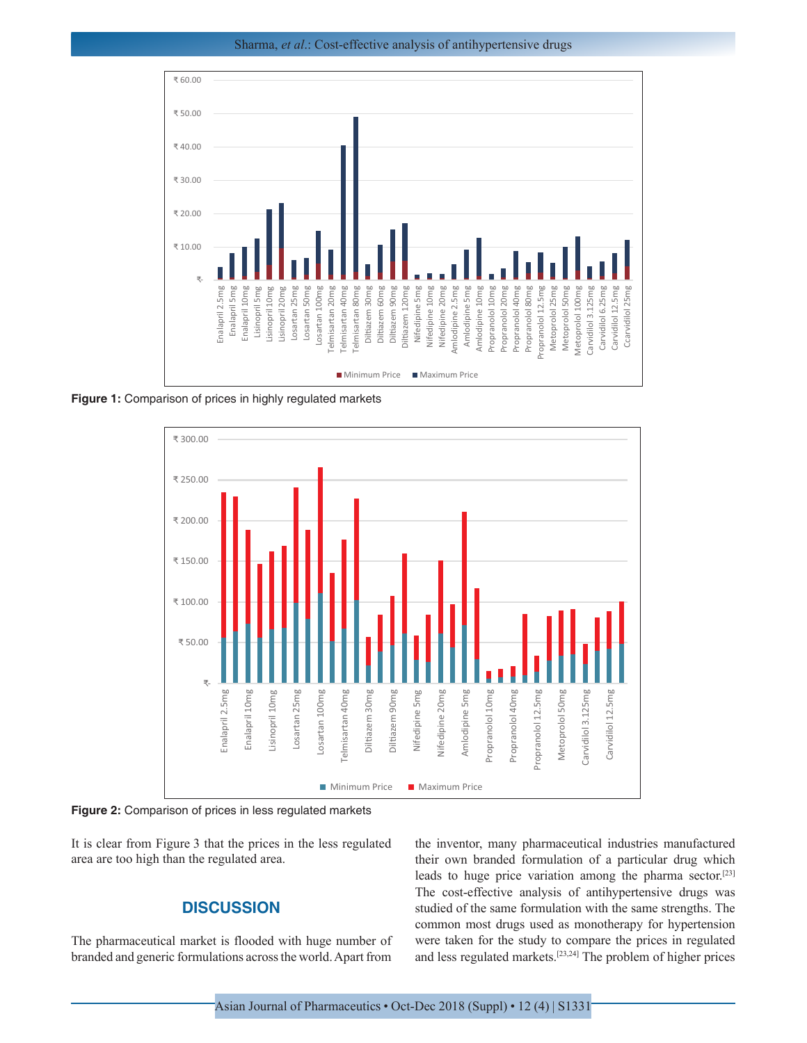Sharma, *et al*.: Cost-effective analysis of antihypertensive drugs



**Figure 1:** Comparison of prices in highly regulated markets



**Figure 2:** Comparison of prices in less regulated markets

It is clear from Figure 3 that the prices in the less regulated area are too high than the regulated area.

# **DISCUSSION**

The pharmaceutical market is flooded with huge number of branded and generic formulations across the world. Apart from

the inventor, many pharmaceutical industries manufactured their own branded formulation of a particular drug which leads to huge price variation among the pharma sector.[23] The cost-effective analysis of antihypertensive drugs was studied of the same formulation with the same strengths. The common most drugs used as monotherapy for hypertension were taken for the study to compare the prices in regulated and less regulated markets.[23,24] The problem of higher prices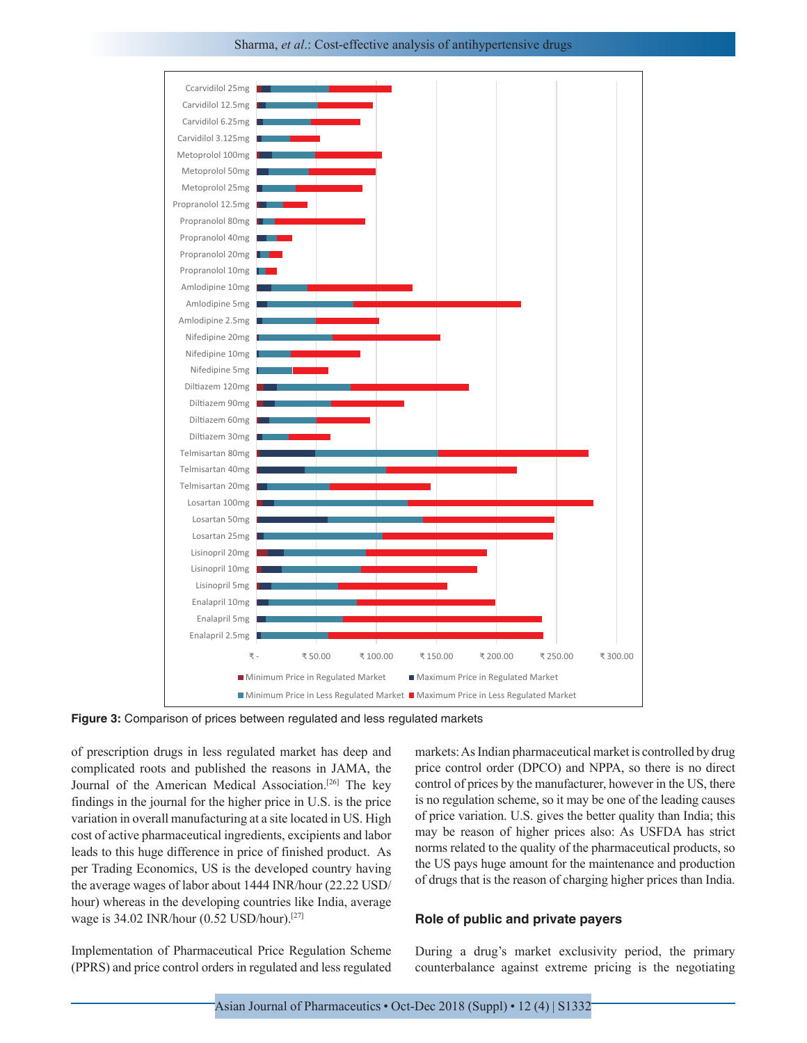#### Sharma, *et al*.: Cost-effective analysis of antihypertensive drugs



**Figure 3:** Comparison of prices between regulated and less regulated markets

of prescription drugs in less regulated market has deep and complicated roots and published the reasons in JAMA, the Journal of the American Medical Association.[26] The key findings in the journal for the higher price in U.S. is the price variation in overall manufacturing at a site located in US. High cost of active pharmaceutical ingredients, excipients and labor leads to this huge difference in price of finished product. As per Trading Economics, US is the developed country having the average wages of labor about 1444 INR/hour (22.22 USD/ hour) whereas in the developing countries like India, average wage is 34.02 INR/hour (0.52 USD/hour).[27]

Implementation of Pharmaceutical Price Regulation Scheme (PPRS) and price control orders in regulated and less regulated markets: As Indian pharmaceutical market is controlled by drug price control order (DPCO) and NPPA, so there is no direct control of prices by the manufacturer, however in the US, there is no regulation scheme, so it may be one of the leading causes of price variation. U.S. gives the better quality than India; this may be reason of higher prices also: As USFDA has strict norms related to the quality of the pharmaceutical products, so the US pays huge amount for the maintenance and production of drugs that is the reason of charging higher prices than India.

#### **Role of public and private payers**

During a drug's market exclusivity period, the primary counterbalance against extreme pricing is the negotiating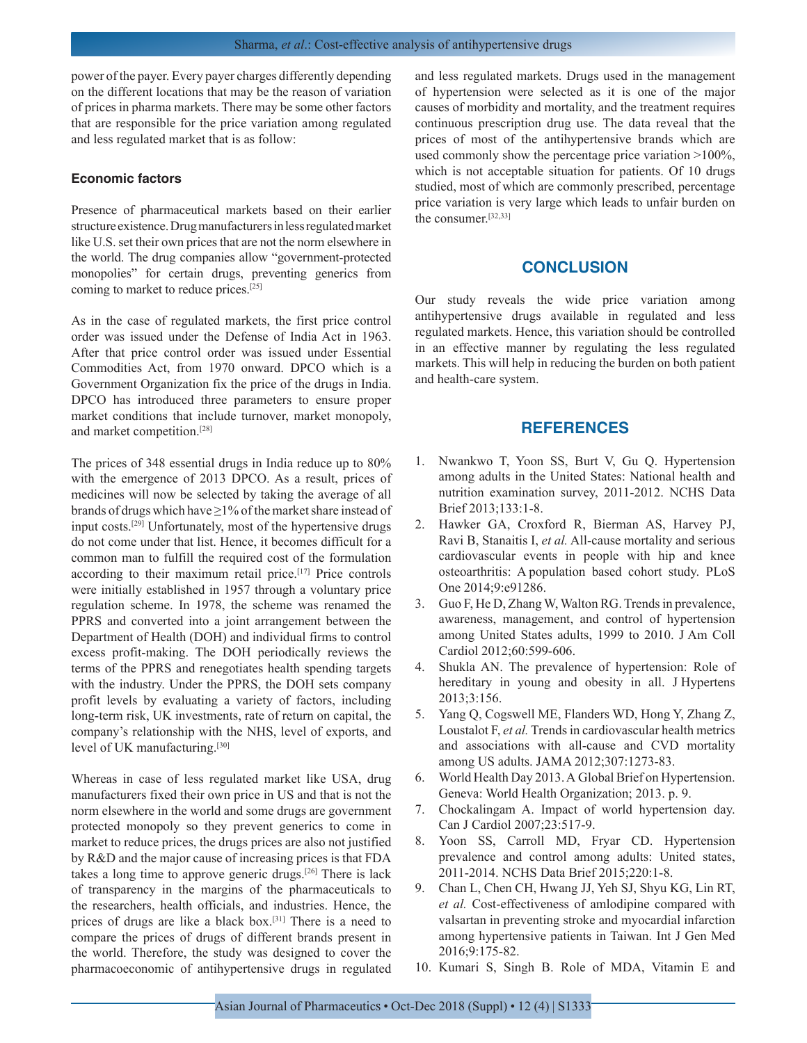power of the payer. Every payer charges differently depending on the different locations that may be the reason of variation of prices in pharma markets. There may be some other factors that are responsible for the price variation among regulated and less regulated market that is as follow:

#### **Economic factors**

Presence of pharmaceutical markets based on their earlier structure existence. Drug manufacturers in less regulated market like U.S. set their own prices that are not the norm elsewhere in the world. The drug companies allow "government-protected monopolies" for certain drugs, preventing generics from coming to market to reduce prices.[25]

As in the case of regulated markets, the first price control order was issued under the Defense of India Act in 1963. After that price control order was issued under Essential Commodities Act, from 1970 onward. DPCO which is a Government Organization fix the price of the drugs in India. DPCO has introduced three parameters to ensure proper market conditions that include turnover, market monopoly, and market competition.[28]

The prices of 348 essential drugs in India reduce up to 80% with the emergence of 2013 DPCO. As a result, prices of medicines will now be selected by taking the average of all brands of drugs which have  $\geq$ 1% of the market share instead of input costs.[29] Unfortunately, most of the hypertensive drugs do not come under that list. Hence, it becomes difficult for a common man to fulfill the required cost of the formulation according to their maximum retail price.[17] Price controls were initially established in 1957 through a voluntary price regulation scheme. In 1978, the scheme was renamed the PPRS and converted into a joint arrangement between the Department of Health (DOH) and individual firms to control excess profit-making. The DOH periodically reviews the terms of the PPRS and renegotiates health spending targets with the industry. Under the PPRS, the DOH sets company profit levels by evaluating a variety of factors, including long-term risk, UK investments, rate of return on capital, the company's relationship with the NHS, level of exports, and level of UK manufacturing.[30]

Whereas in case of less regulated market like USA, drug manufacturers fixed their own price in US and that is not the norm elsewhere in the world and some drugs are government protected monopoly so they prevent generics to come in market to reduce prices, the drugs prices are also not justified by R&D and the major cause of increasing prices is that FDA takes a long time to approve generic drugs.[26] There is lack of transparency in the margins of the pharmaceuticals to the researchers, health officials, and industries. Hence, the prices of drugs are like a black box.[31] There is a need to compare the prices of drugs of different brands present in the world. Therefore, the study was designed to cover the pharmacoeconomic of antihypertensive drugs in regulated and less regulated markets. Drugs used in the management of hypertension were selected as it is one of the major causes of morbidity and mortality, and the treatment requires continuous prescription drug use. The data reveal that the prices of most of the antihypertensive brands which are used commonly show the percentage price variation >100%, which is not acceptable situation for patients. Of 10 drugs studied, most of which are commonly prescribed, percentage price variation is very large which leads to unfair burden on the consumer.[32,33]

# **CONCLUSION**

Our study reveals the wide price variation among antihypertensive drugs available in regulated and less regulated markets. Hence, this variation should be controlled in an effective manner by regulating the less regulated markets. This will help in reducing the burden on both patient and health-care system.

# **REFERENCES**

- 1. Nwankwo T, Yoon SS, Burt V, Gu Q. Hypertension among adults in the United States: National health and nutrition examination survey, 2011-2012. NCHS Data Brief 2013;133:1-8.
- 2. Hawker GA, Croxford R, Bierman AS, Harvey PJ, Ravi B, Stanaitis I, *et al.* All-cause mortality and serious cardiovascular events in people with hip and knee osteoarthritis: A population based cohort study. PLoS One 2014;9:e91286.
- 3. Guo F, He D, Zhang W, Walton RG. Trends in prevalence, awareness, management, and control of hypertension among United States adults, 1999 to 2010. J Am Coll Cardiol 2012;60:599-606.
- 4. Shukla AN. The prevalence of hypertension: Role of hereditary in young and obesity in all. J Hypertens 2013;3:156.
- 5. Yang Q, Cogswell ME, Flanders WD, Hong Y, Zhang Z, Loustalot F, *et al.* Trends in cardiovascular health metrics and associations with all-cause and CVD mortality among US adults. JAMA 2012;307:1273-83.
- 6. World Health Day 2013. A Global Brief on Hypertension. Geneva: World Health Organization; 2013. p. 9.
- 7. Chockalingam A. Impact of world hypertension day. Can J Cardiol 2007;23:517-9.
- 8. Yoon SS, Carroll MD, Fryar CD. Hypertension prevalence and control among adults: United states, 2011-2014. NCHS Data Brief 2015;220:1-8.
- 9. Chan L, Chen CH, Hwang JJ, Yeh SJ, Shyu KG, Lin RT, *et al.* Cost-effectiveness of amlodipine compared with valsartan in preventing stroke and myocardial infarction among hypertensive patients in Taiwan. Int J Gen Med 2016;9:175-82.
- 10. Kumari S, Singh B. Role of MDA, Vitamin E and